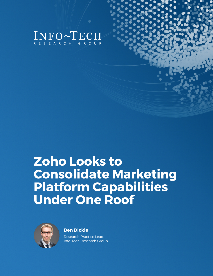

## **Zoho Looks to Consolidate Marketing Platform Capabilities Under One Roof**



**Ben Dickie**

Research Practice Lead, Info-Tech Research Group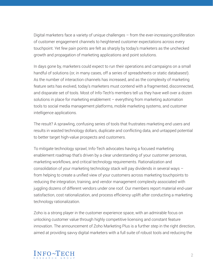Digital marketers face a variety of unique challenges – from the ever-increasing proliferation of customer engagement channels to heightened customer expectations across every touchpoint. Yet few pain points are felt as sharply by today's marketers as the unchecked growth and propagation of marketing applications and point solutions.

In days gone by, marketers could expect to run their operations and campaigns on a small handful of solutions (or, in many cases, off a series of spreadsheets or static databases!). As the number of interaction channels has increased, and as the complexity of marketing feature sets has evolved, today's marketers must contend with a fragmented, disconnected, and disparate set of tools. Most of Info-Tech's members tell us they have well over a dozen solutions in place for marketing enablement – everything from marketing automation tools to social media management platforms, mobile marketing systems, and customer intelligence applications.

The result? A sprawling, confusing series of tools that frustrates marketing end users and results in wasted technology dollars, duplicate and conflicting data, and untapped potential to better target high-value prospects and customers.

To mitigate technology sprawl, Info-Tech advocates having a focused marketing enablement roadmap that's driven by a clear understanding of your customer personas, marketing workflows, and critical technology requirements. Rationalization and consolidation of your marketing technology stack will pay dividends in several ways – from helping to create a unified view of your customers across marketing touchpoints to reducing the integration, training, and vendor management complexity associated with juggling dozens of different vendors under one roof. Our members report material end-user satisfaction, cost rationalization, and process efficiency uplift after conducting a marketing technology rationalization.

Zoho is a strong player in the customer experience space, with an admirable focus on unlocking customer value through highly competitive licensing and constant feature innovation. The announcement of Zoho Marketing Plus is a further step in the right direction, aimed at providing savvy digital marketers with a full suite of robust tools and reducing the

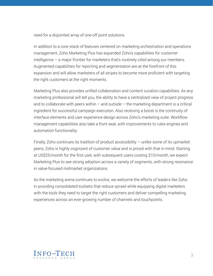need for a disjointed array of one-off point solutions.

In addition to a core stack of features centered on marketing orchestration and operations management, Zoho Marketing Plus has expanded Zoho's capabilities for customer intelligence – a major frontier for marketers that's routinely cited among our members. Augmented capabilities for reporting and segmentation are at the forefront of this expansion and will allow marketers of all stripes to become more proficient with targeting the right customers at the right moments.

Marketing Plus also provides unified collaboration and content curation capabilities. As any marketing professional will tell you, the ability to have a centralized view of project progress and to collaborate with peers within  $-$  and outside  $-$  the marketing department is a critical ingredient for successful campaign execution. Also receiving a boost is the continuity of interface elements and user experience design across Zoho's marketing suite. Workflow management capabilities also take a front seat, with improvements to rules engines and automation functionality.

Finally, Zoho continues its tradition of product accessibility – unlike some of its upmarket peers, Zoho is highly cognizant of customer value and is priced with that in mind. Starting at US\$25/month for the first user, with subsequent users costing \$10/month, we expect Marketing Plus to see strong adoption across a variety of segments, with strong resonance in value-focused midmarket organizations.

As the marketing arena continues to evolve, we welcome the efforts of leaders like Zoho in providing consolidated toolsets that reduce sprawl while equipping digital marketers with the tools they need to target the right customers and deliver compelling marketing experiences across an ever-growing number of channels and touchpoints.